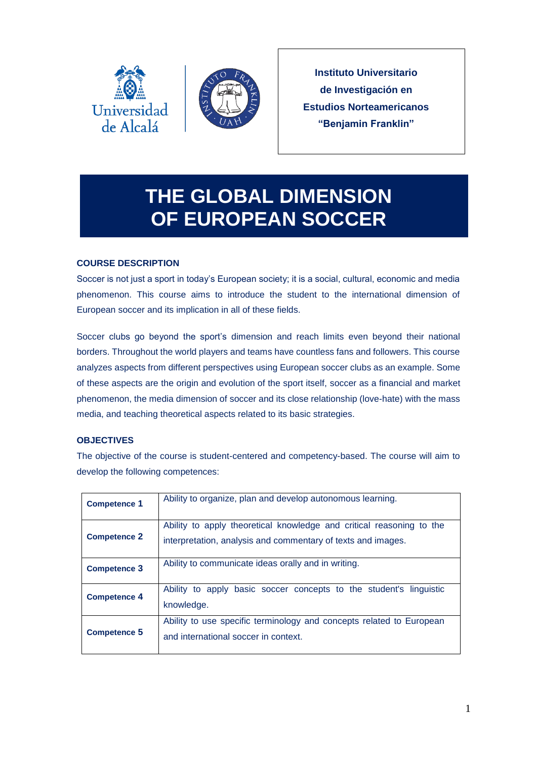



**Instituto Universitario de Investigación en Estudios Norteamericanos "Benjamin Franklin"**

# **THE GLOBAL DIMENSION OF EUROPEAN SOCCER**

## **COURSE DESCRIPTION**

Soccer is not just a sport in today's European society; it is a social, cultural, economic and media phenomenon. This course aims to introduce the student to the international dimension of European soccer and its implication in all of these fields.

Soccer clubs go beyond the sport's dimension and reach limits even beyond their national borders. Throughout the world players and teams have countless fans and followers. This course analyzes aspects from different perspectives using European soccer clubs as an example. Some of these aspects are the origin and evolution of the sport itself, soccer as a financial and market phenomenon, the media dimension of soccer and its close relationship (love-hate) with the mass media, and teaching theoretical aspects related to its basic strategies.

## **OBJECTIVES**

The objective of the course is student-centered and competency-based. The course will aim to develop the following competences:

| <b>Competence 1</b> | Ability to organize, plan and develop autonomous learning.                                                                           |
|---------------------|--------------------------------------------------------------------------------------------------------------------------------------|
| <b>Competence 2</b> | Ability to apply theoretical knowledge and critical reasoning to the<br>interpretation, analysis and commentary of texts and images. |
| <b>Competence 3</b> | Ability to communicate ideas orally and in writing.                                                                                  |
| <b>Competence 4</b> | Ability to apply basic soccer concepts to the student's linguistic<br>knowledge.                                                     |
| <b>Competence 5</b> | Ability to use specific terminology and concepts related to European<br>and international soccer in context.                         |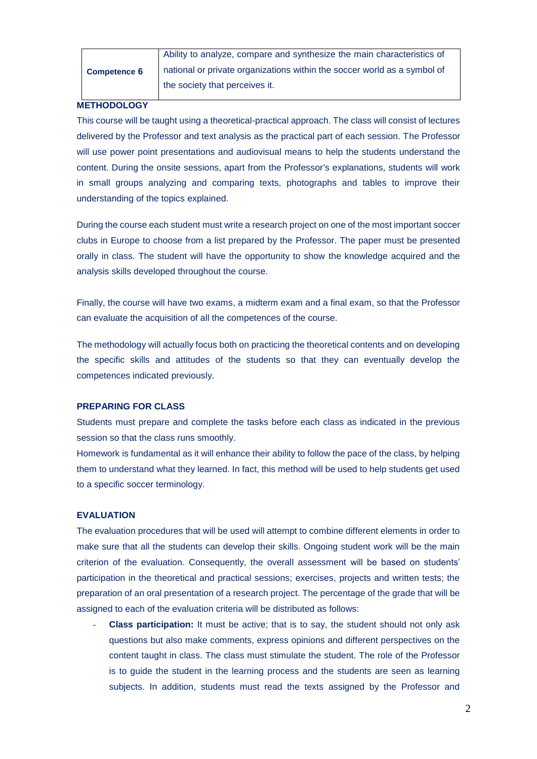|                     | Ability to analyze, compare and synthesize the main characteristics of   |
|---------------------|--------------------------------------------------------------------------|
| <b>Competence 6</b> | national or private organizations within the soccer world as a symbol of |
|                     | the society that perceives it.                                           |

## **METHODOLOGY**

This course will be taught using a theoretical-practical approach. The class will consist of lectures delivered by the Professor and text analysis as the practical part of each session. The Professor will use power point presentations and audiovisual means to help the students understand the content. During the onsite sessions, apart from the Professor's explanations, students will work in small groups analyzing and comparing texts, photographs and tables to improve their understanding of the topics explained.

During the course each student must write a research project on one of the most important soccer clubs in Europe to choose from a list prepared by the Professor. The paper must be presented orally in class. The student will have the opportunity to show the knowledge acquired and the analysis skills developed throughout the course.

Finally, the course will have two exams, a midterm exam and a final exam, so that the Professor can evaluate the acquisition of all the competences of the course.

The methodology will actually focus both on practicing the theoretical contents and on developing the specific skills and attitudes of the students so that they can eventually develop the competences indicated previously.

#### **PREPARING FOR CLASS**

Students must prepare and complete the tasks before each class as indicated in the previous session so that the class runs smoothly.

Homework is fundamental as it will enhance their ability to follow the pace of the class, by helping them to understand what they learned. In fact, this method will be used to help students get used to a specific soccer terminology.

#### **EVALUATION**

The evaluation procedures that will be used will attempt to combine different elements in order to make sure that all the students can develop their skills. Ongoing student work will be the main criterion of the evaluation. Consequently, the overall assessment will be based on students' participation in the theoretical and practical sessions; exercises, projects and written tests; the preparation of an oral presentation of a research project. The percentage of the grade that will be assigned to each of the evaluation criteria will be distributed as follows:

- **Class participation:** It must be active; that is to say, the student should not only ask questions but also make comments, express opinions and different perspectives on the content taught in class. The class must stimulate the student. The role of the Professor is to guide the student in the learning process and the students are seen as learning subjects. In addition, students must read the texts assigned by the Professor and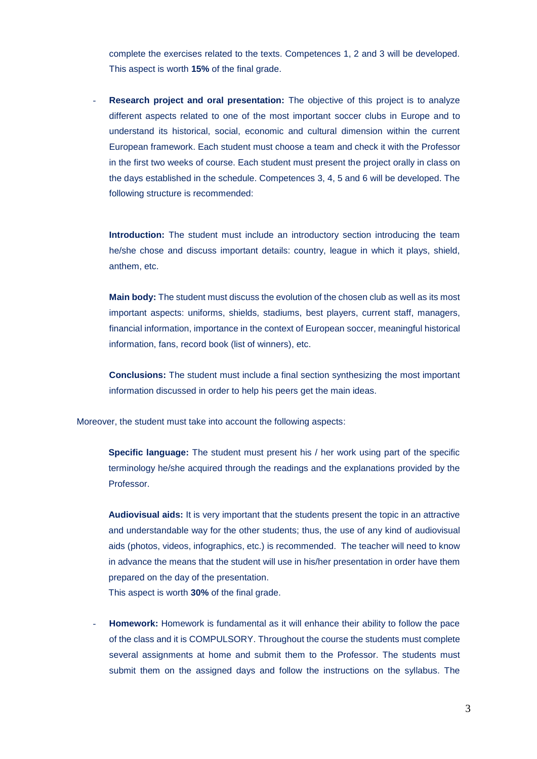complete the exercises related to the texts. Competences 1, 2 and 3 will be developed. This aspect is worth **15%** of the final grade.

**Research project and oral presentation:** The objective of this project is to analyze different aspects related to one of the most important soccer clubs in Europe and to understand its historical, social, economic and cultural dimension within the current European framework. Each student must choose a team and check it with the Professor in the first two weeks of course. Each student must present the project orally in class on the days established in the schedule. Competences 3, 4, 5 and 6 will be developed. The following structure is recommended:

**Introduction:** The student must include an introductory section introducing the team he/she chose and discuss important details: country, league in which it plays, shield, anthem, etc.

**Main body:** The student must discuss the evolution of the chosen club as well as its most important aspects: uniforms, shields, stadiums, best players, current staff, managers, financial information, importance in the context of European soccer, meaningful historical information, fans, record book (list of winners), etc.

**Conclusions:** The student must include a final section synthesizing the most important information discussed in order to help his peers get the main ideas.

Moreover, the student must take into account the following aspects:

**Specific language:** The student must present his / her work using part of the specific terminology he/she acquired through the readings and the explanations provided by the Professor.

**Audiovisual aids:** It is very important that the students present the topic in an attractive and understandable way for the other students; thus, the use of any kind of audiovisual aids (photos, videos, infographics, etc.) is recommended. The teacher will need to know in advance the means that the student will use in his/her presentation in order have them prepared on the day of the presentation.

This aspect is worth **30%** of the final grade.

**Homework:** Homework is fundamental as it will enhance their ability to follow the pace of the class and it is COMPULSORY. Throughout the course the students must complete several assignments at home and submit them to the Professor. The students must submit them on the assigned days and follow the instructions on the syllabus. The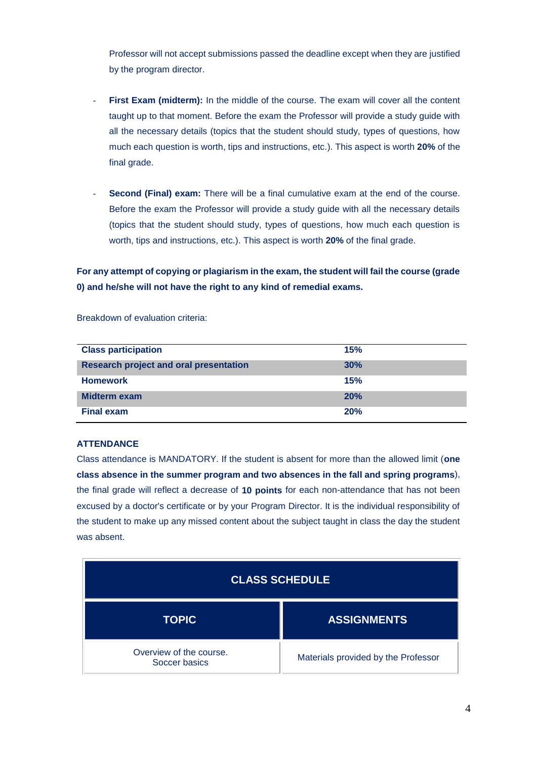Professor will not accept submissions passed the deadline except when they are justified by the program director.

- First Exam (midterm): In the middle of the course. The exam will cover all the content taught up to that moment. Before the exam the Professor will provide a study guide with all the necessary details (topics that the student should study, types of questions, how much each question is worth, tips and instructions, etc.). This aspect is worth **20%** of the final grade.
- **Second (Final) exam:** There will be a final cumulative exam at the end of the course. Before the exam the Professor will provide a study guide with all the necessary details (topics that the student should study, types of questions, how much each question is worth, tips and instructions, etc.). This aspect is worth **20%** of the final grade.

**For any attempt of copying or plagiarism in the exam, the student will fail the course (grade 0) and he/she will not have the right to any kind of remedial exams.**

Breakdown of evaluation criteria:

| <b>Class participation</b>                    | 15% |
|-----------------------------------------------|-----|
| <b>Research project and oral presentation</b> | 30% |
| <b>Homework</b>                               | 15% |
| Midterm exam                                  | 20% |
| <b>Final exam</b>                             | 20% |

#### **ATTENDANCE**

Class attendance is MANDATORY. If the student is absent for more than the allowed limit (**one class absence in the summer program and two absences in the fall and spring programs**), the final grade will reflect a decrease of **10 points** for each non-attendance that has not been excused by a doctor's certificate or by your Program Director. It is the individual responsibility of the student to make up any missed content about the subject taught in class the day the student was absent.

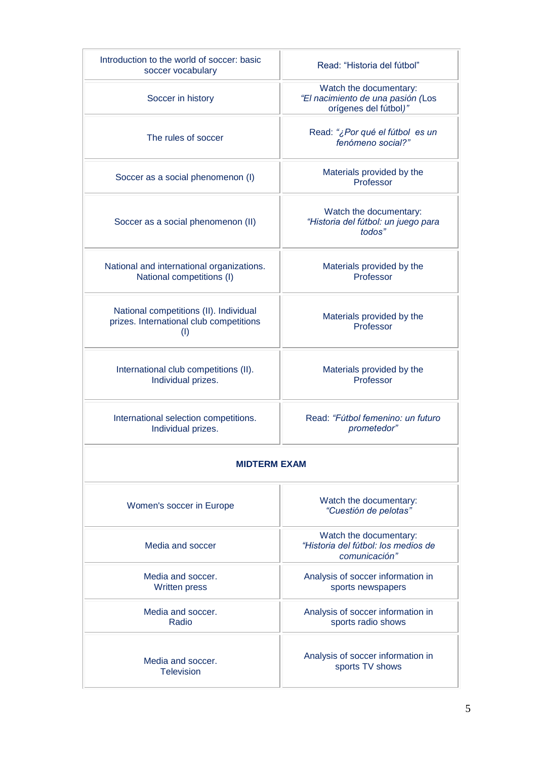| Introduction to the world of soccer: basic<br>soccer vocabulary                          | Read: "Historia del fútbol"                                                          |  |  |  |
|------------------------------------------------------------------------------------------|--------------------------------------------------------------------------------------|--|--|--|
| Soccer in history                                                                        | Watch the documentary:<br>"El nacimiento de una pasión (Los<br>orígenes del fútbol)" |  |  |  |
| The rules of soccer                                                                      | Read: "¿Por qué el fútbol es un<br>fenómeno social?"                                 |  |  |  |
| Soccer as a social phenomenon (I)                                                        | Materials provided by the<br>Professor                                               |  |  |  |
| Soccer as a social phenomenon (II)                                                       | Watch the documentary:<br>"Historia del fútbol: un juego para<br>todos"              |  |  |  |
| National and international organizations.<br>National competitions (I)                   | Materials provided by the<br>Professor                                               |  |  |  |
| National competitions (II). Individual<br>prizes. International club competitions<br>(1) | Materials provided by the<br>Professor                                               |  |  |  |
| International club competitions (II).<br>Individual prizes.                              | Materials provided by the<br>Professor                                               |  |  |  |
| International selection competitions.<br>Individual prizes.                              | Read: "Fútbol femenino: un futuro<br>prometedor"                                     |  |  |  |
| <b>MIDTERM EXAM</b>                                                                      |                                                                                      |  |  |  |
| Women's soccer in Europe                                                                 | Watch the documentary:<br>"Cuestión de pelotas"                                      |  |  |  |
| Media and soccer                                                                         | Watch the documentary:<br>"Historia del fútbol: los medios de<br>comunicación"       |  |  |  |
| Media and soccer.<br><b>Written press</b>                                                | Analysis of soccer information in<br>sports newspapers                               |  |  |  |
| Media and soccer.<br>Radio                                                               | Analysis of soccer information in<br>sports radio shows                              |  |  |  |
| Media and soccer.<br><b>Television</b>                                                   | Analysis of soccer information in<br>sports TV shows                                 |  |  |  |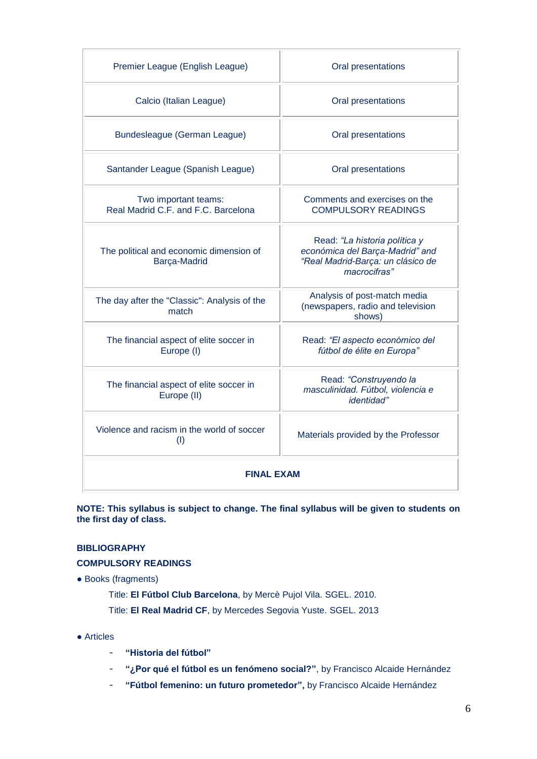| Premier League (English League)                             | Oral presentations                                                                                                    |  |  |
|-------------------------------------------------------------|-----------------------------------------------------------------------------------------------------------------------|--|--|
| Calcio (Italian League)                                     | Oral presentations                                                                                                    |  |  |
| Bundesleague (German League)                                | Oral presentations                                                                                                    |  |  |
| Santander League (Spanish League)                           | Oral presentations                                                                                                    |  |  |
| Two important teams:<br>Real Madrid C.F. and F.C. Barcelona | Comments and exercises on the<br><b>COMPULSORY READINGS</b>                                                           |  |  |
| The political and economic dimension of<br>Barça-Madrid     | Read: "La historia política y<br>económica del Barça-Madrid" and<br>"Real Madrid-Barça: un clásico de<br>macrocifras" |  |  |
| The day after the "Classic": Analysis of the<br>match       | Analysis of post-match media<br>(newspapers, radio and television<br>shows)                                           |  |  |
| The financial aspect of elite soccer in<br>Europe (I)       | Read: "El aspecto económico del<br>fútbol de élite en Europa"                                                         |  |  |
| The financial aspect of elite soccer in<br>Europe (II)      | Read: "Construyendo la<br>masculinidad. Fútbol, violencia e<br>identidad"                                             |  |  |
| Violence and racism in the world of soccer<br>(I)           | Materials provided by the Professor                                                                                   |  |  |
| <b>FINAL EXAM</b>                                           |                                                                                                                       |  |  |

**NOTE: This syllabus is subject to change. The final syllabus will be given to students on the first day of class.**

## **BIBLIOGRAPHY**

## **COMPULSORY READINGS**

● Books (fragments)

Title: **El Fútbol Club Barcelona**, by Mercè Pujol Vila. SGEL. 2010. Title: **El Real Madrid CF**, by Mercedes Segovia Yuste. SGEL. 2013

- Articles
	- **"Historia del fútbol"**
	- **"¿Por qué el fútbol es un fenómeno social?"**, by Francisco Alcaide Hernández
	- **"Fútbol femenino: un futuro prometedor",** by Francisco Alcaide Hernández